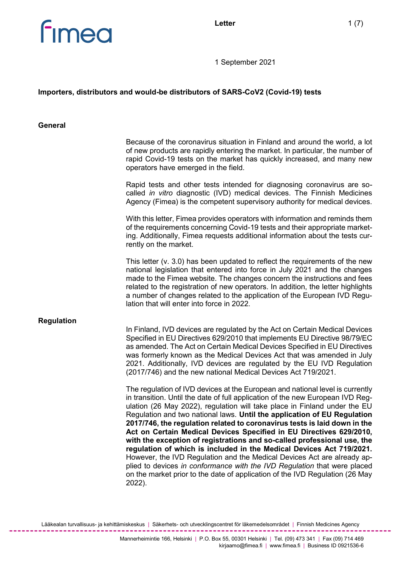



1 September 2021

## **Importers, distributors and would-be distributors of SARS-CoV2 (Covid-19) tests**

#### **General**

|                   | Because of the coronavirus situation in Finland and around the world, a lot<br>of new products are rapidly entering the market. In particular, the number of<br>rapid Covid-19 tests on the market has quickly increased, and many new<br>operators have emerged in the field.                                                                                                                                                                                                                                                                                                                                                                                                                                                                                                                                                                                                   |
|-------------------|----------------------------------------------------------------------------------------------------------------------------------------------------------------------------------------------------------------------------------------------------------------------------------------------------------------------------------------------------------------------------------------------------------------------------------------------------------------------------------------------------------------------------------------------------------------------------------------------------------------------------------------------------------------------------------------------------------------------------------------------------------------------------------------------------------------------------------------------------------------------------------|
|                   | Rapid tests and other tests intended for diagnosing coronavirus are so-<br>called in vitro diagnostic (IVD) medical devices. The Finnish Medicines<br>Agency (Fimea) is the competent supervisory authority for medical devices.                                                                                                                                                                                                                                                                                                                                                                                                                                                                                                                                                                                                                                                 |
|                   | With this letter, Fimea provides operators with information and reminds them<br>of the requirements concerning Covid-19 tests and their appropriate market-<br>ing. Additionally, Fimea requests additional information about the tests cur-<br>rently on the market.                                                                                                                                                                                                                                                                                                                                                                                                                                                                                                                                                                                                            |
|                   | This letter $(v. 3.0)$ has been updated to reflect the requirements of the new<br>national legislation that entered into force in July 2021 and the changes<br>made to the Fimea website. The changes concern the instructions and fees<br>related to the registration of new operators. In addition, the letter highlights<br>a number of changes related to the application of the European IVD Regu-<br>lation that will enter into force in 2022.                                                                                                                                                                                                                                                                                                                                                                                                                            |
| <b>Regulation</b> | In Finland, IVD devices are regulated by the Act on Certain Medical Devices<br>Specified in EU Directives 629/2010 that implements EU Directive 98/79/EC<br>as amended. The Act on Certain Medical Devices Specified in EU Directives<br>was formerly known as the Medical Devices Act that was amended in July<br>2021. Additionally, IVD devices are regulated by the EU IVD Regulation<br>(2017/746) and the new national Medical Devices Act 719/2021.                                                                                                                                                                                                                                                                                                                                                                                                                       |
|                   | The regulation of IVD devices at the European and national level is currently<br>in transition. Until the date of full application of the new European IVD Reg-<br>ulation (26 May 2022), regulation will take place in Finland under the EU<br>Regulation and two national laws. Until the application of EU Regulation<br>2017/746, the regulation related to coronavirus tests is laid down in the<br>Act on Certain Medical Devices Specified in EU Directives 629/2010,<br>with the exception of registrations and so-called professional use, the<br>regulation of which is included in the Medical Devices Act 719/2021.<br>However, the IVD Regulation and the Medical Devices Act are already ap-<br>plied to devices in conformance with the IVD Regulation that were placed<br>on the market prior to the date of application of the IVD Regulation (26 May<br>2022). |

Lääkealan turvallisuus- ja kehittämiskeskus | Säkerhets- och utvecklingscentret för läkemedelsområdet | Finnish Medicines Agency

------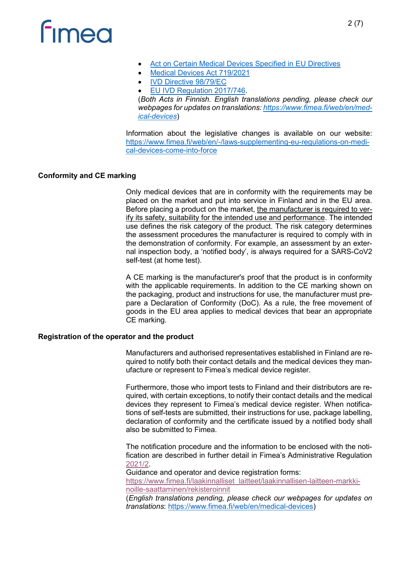# **Fimed**

- [Act on Certain Medical Devices Specified in EU Directives](https://finlex.fi/fi/laki/ajantasa/2010/20100629)
- Medical Devices Act 719/2021
- [IVD Directive 98/79/EC](https://eur-lex.europa.eu/legal-content/EN/ALL/?uri=CELEX%3A31998L0079)
- [EU IVD Regulation 2017/746.](https://eur-lex.europa.eu/legal-content/EN/TXT/?uri=CELEX%3A02017R0746-20170505)

(*Both Acts in Finnish. English translations pending, please check our webpages for updates on translations: [https://www.fimea.fi/web/en/med](https://www.fimea.fi/web/en/medical-devices)[ical-devices](https://www.fimea.fi/web/en/medical-devices)*)

Information about the legislative changes is available on our website: [https://www.fimea.fi/web/en/-/laws-supplementing-eu-regulations-on-medi](https://www.fimea.fi/web/en/-/laws-supplementing-eu-regulations-on-medical-devices-come-into-force)[cal-devices-come-into-force](https://www.fimea.fi/web/en/-/laws-supplementing-eu-regulations-on-medical-devices-come-into-force)

## **Conformity and CE marking**

Only medical devices that are in conformity with the requirements may be placed on the market and put into service in Finland and in the EU area. Before placing a product on the market, the manufacturer is required to verify its safety, suitability for the intended use and performance. The intended use defines the risk category of the product. The risk category determines the assessment procedures the manufacturer is required to comply with in the demonstration of conformity. For example, an assessment by an external inspection body, a 'notified body', is always required for a SARS-CoV2 self-test (at home test).

A CE marking is the manufacturer's proof that the product is in conformity with the applicable requirements. In addition to the CE marking shown on the packaging, product and instructions for use, the manufacturer must prepare a Declaration of Conformity (DoC). As a rule, the free movement of goods in the EU area applies to medical devices that bear an appropriate CE marking.

### **Registration of the operator and the product**

Manufacturers and authorised representatives established in Finland are required to notify both their contact details and the medical devices they manufacture or represent to Fimea's medical device register.

Furthermore, those who import tests to Finland and their distributors are required, with certain exceptions, to notify their contact details and the medical devices they represent to Fimea's medical device register. When notifications of self-tests are submitted, their instructions for use, package labelling, declaration of conformity and the certificate issued by a notified body shall also be submitted to Fimea.

The notification procedure and the information to be enclosed with the notification are described in further detail in Fimea's Administrative Regulation [2021/2.](https://finlex.fi/fi/viranomaiset/normi/558001/47297)

Guidance and operator and device registration forms: [https://www.fimea.fi/laakinnalliset\\_laitteet/laakinnallisen-laitteen-markki](https://www.fimea.fi/laakinnalliset_laitteet/laakinnallisen-laitteen-markkinoille-saattaminen/rekisteroinnit)[noille-saattaminen/rekisteroinnit](https://www.fimea.fi/laakinnalliset_laitteet/laakinnallisen-laitteen-markkinoille-saattaminen/rekisteroinnit) (*English translations pending, please check our webpages for updates on* 

*translations*: [https://www.fimea.fi/web/en/medical-devices\)](https://www.fimea.fi/web/en/medical-devices)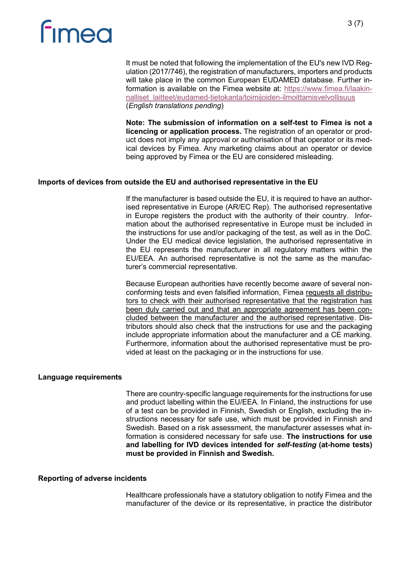# **Fimed**

It must be noted that following the implementation of the EU's new IVD Regulation (2017/746), the registration of manufacturers, importers and products will take place in the common European EUDAMED database. Further information is available on the Fimea website at: [https://www.fimea.fi/laakin](https://www.fimea.fi/laakinnalliset_laitteet/eudamed-tietokanta/toimijoiden-ilmoittamisvelvollisuus)[nalliset\\_laitteet/eudamed-tietokanta/toimijoiden-ilmoittamisvelvollisuus](https://www.fimea.fi/laakinnalliset_laitteet/eudamed-tietokanta/toimijoiden-ilmoittamisvelvollisuus) (*English translations pending*)

**Note: The submission of information on a self-test to Fimea is not a licencing or application process.** The registration of an operator or product does not imply any approval or authorisation of that operator or its medical devices by Fimea. Any marketing claims about an operator or device being approved by Fimea or the EU are considered misleading.

### **Imports of devices from outside the EU and authorised representative in the EU**

If the manufacturer is based outside the EU, it is required to have an authorised representative in Europe (AR/EC Rep). The authorised representative in Europe registers the product with the authority of their country. Information about the authorised representative in Europe must be included in the instructions for use and/or packaging of the test, as well as in the DoC. Under the EU medical device legislation, the authorised representative in the EU represents the manufacturer in all regulatory matters within the EU/EEA. An authorised representative is not the same as the manufacturer's commercial representative.

Because European authorities have recently become aware of several nonconforming tests and even falsified information, Fimea requests all distributors to check with their authorised representative that the registration has been duly carried out and that an appropriate agreement has been concluded between the manufacturer and the authorised representative. Distributors should also check that the instructions for use and the packaging include appropriate information about the manufacturer and a CE marking. Furthermore, information about the authorised representative must be provided at least on the packaging or in the instructions for use.

### **Language requirements**

There are country-specific language requirements for the instructions for use and product labelling within the EU/EEA. In Finland, the instructions for use of a test can be provided in Finnish, Swedish or English, excluding the instructions necessary for safe use, which must be provided in Finnish and Swedish. Based on a risk assessment, the manufacturer assesses what information is considered necessary for safe use. **The instructions for use and labelling for IVD devices intended for** *self-testing* **(at-home tests) must be provided in Finnish and Swedish.**

#### **Reporting of adverse incidents**

Healthcare professionals have a statutory obligation to notify Fimea and the manufacturer of the device or its representative, in practice the distributor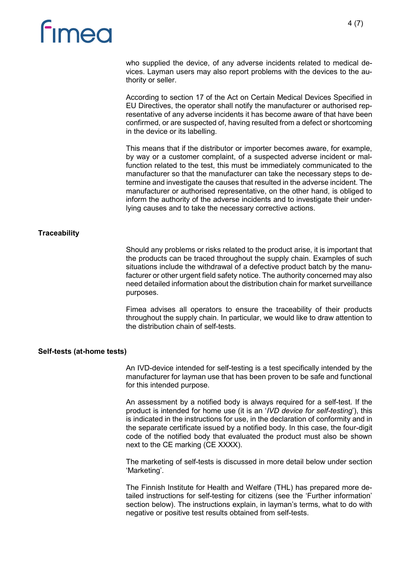# **Fimed**

who supplied the device, of any adverse incidents related to medical devices. Layman users may also report problems with the devices to the authority or seller.

According to section 17 of the Act on Certain Medical Devices Specified in EU Directives, the operator shall notify the manufacturer or authorised representative of any adverse incidents it has become aware of that have been confirmed, or are suspected of, having resulted from a defect or shortcoming in the device or its labelling.

This means that if the distributor or importer becomes aware, for example, by way or a customer complaint, of a suspected adverse incident or malfunction related to the test, this must be immediately communicated to the manufacturer so that the manufacturer can take the necessary steps to determine and investigate the causes that resulted in the adverse incident. The manufacturer or authorised representative, on the other hand, is obliged to inform the authority of the adverse incidents and to investigate their underlying causes and to take the necessary corrective actions.

### **Traceability**

Should any problems or risks related to the product arise, it is important that the products can be traced throughout the supply chain. Examples of such situations include the withdrawal of a defective product batch by the manufacturer or other urgent field safety notice. The authority concerned may also need detailed information about the distribution chain for market surveillance purposes.

Fimea advises all operators to ensure the traceability of their products throughout the supply chain. In particular, we would like to draw attention to the distribution chain of self-tests.

### **Self-tests (at-home tests)**

An IVD-device intended for self-testing is a test specifically intended by the manufacturer for layman use that has been proven to be safe and functional for this intended purpose.

An assessment by a notified body is always required for a self-test. If the product is intended for home use (it is an '*IVD device for self-testing*'), this is indicated in the instructions for use, in the declaration of conformity and in the separate certificate issued by a notified body. In this case, the four-digit code of the notified body that evaluated the product must also be shown next to the CE marking (CE XXXX).

The marketing of self-tests is discussed in more detail below under section 'Marketing'.

The Finnish Institute for Health and Welfare (THL) has prepared more detailed instructions for self-testing for citizens (see the 'Further information' section below). The instructions explain, in layman's terms, what to do with negative or positive test results obtained from self-tests.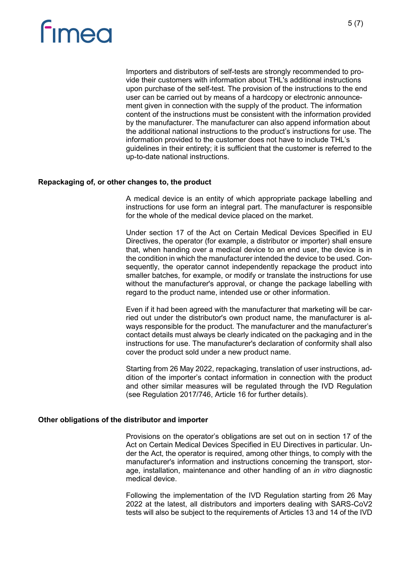# **Fimea**

Importers and distributors of self-tests are strongly recommended to provide their customers with information about THL's additional instructions upon purchase of the self-test. The provision of the instructions to the end user can be carried out by means of a hardcopy or electronic announcement given in connection with the supply of the product. The information content of the instructions must be consistent with the information provided by the manufacturer. The manufacturer can also append information about the additional national instructions to the product's instructions for use. The information provided to the customer does not have to include THL's guidelines in their entirety; it is sufficient that the customer is referred to the up-to-date national instructions.

#### **Repackaging of, or other changes to, the product**

A medical device is an entity of which appropriate package labelling and instructions for use form an integral part. The manufacturer is responsible for the whole of the medical device placed on the market.

Under section 17 of the Act on Certain Medical Devices Specified in EU Directives, the operator (for example, a distributor or importer) shall ensure that, when handing over a medical device to an end user, the device is in the condition in which the manufacturer intended the device to be used. Consequently, the operator cannot independently repackage the product into smaller batches, for example, or modify or translate the instructions for use without the manufacturer's approval, or change the package labelling with regard to the product name, intended use or other information.

Even if it had been agreed with the manufacturer that marketing will be carried out under the distributor's own product name, the manufacturer is always responsible for the product. The manufacturer and the manufacturer's contact details must always be clearly indicated on the packaging and in the instructions for use. The manufacturer's declaration of conformity shall also cover the product sold under a new product name.

Starting from 26 May 2022, repackaging, translation of user instructions, addition of the importer's contact information in connection with the product and other similar measures will be regulated through the IVD Regulation (see Regulation 2017/746, Article 16 for further details).

### **Other obligations of the distributor and importer**

Provisions on the operator's obligations are set out on in section 17 of the Act on Certain Medical Devices Specified in EU Directives in particular. Under the Act, the operator is required, among other things, to comply with the manufacturer's information and instructions concerning the transport, storage, installation, maintenance and other handling of an *in vitro* diagnostic medical device.

Following the implementation of the IVD Regulation starting from 26 May 2022 at the latest, all distributors and importers dealing with SARS-CoV2 tests will also be subject to the requirements of Articles 13 and 14 of the IVD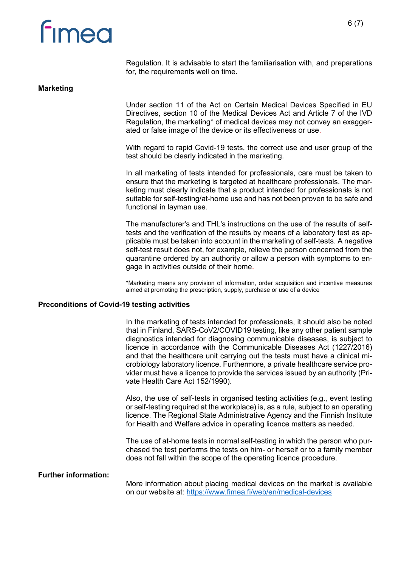# **Fimea**

Regulation. It is advisable to start the familiarisation with, and preparations for, the requirements well on time.

#### **Marketing**

Under section 11 of the Act on Certain Medical Devices Specified in EU Directives, section 10 of the Medical Devices Act and Article 7 of the IVD Regulation, the marketing\* of medical devices may not convey an exaggerated or false image of the device or its effectiveness or use.

With regard to rapid Covid-19 tests, the correct use and user group of the test should be clearly indicated in the marketing.

In all marketing of tests intended for professionals, care must be taken to ensure that the marketing is targeted at healthcare professionals. The marketing must clearly indicate that a product intended for professionals is not suitable for self-testing/at-home use and has not been proven to be safe and functional in layman use.

The manufacturer's and THL's instructions on the use of the results of selftests and the verification of the results by means of a laboratory test as applicable must be taken into account in the marketing of self-tests. A negative self-test result does not, for example, relieve the person concerned from the quarantine ordered by an authority or allow a person with symptoms to engage in activities outside of their home.

\*Marketing means any provision of information, order acquisition and incentive measures aimed at promoting the prescription, supply, purchase or use of a device

#### **Preconditions of Covid-19 testing activities**

In the marketing of tests intended for professionals, it should also be noted that in Finland, SARS-CoV2/COVID19 testing, like any other patient sample diagnostics intended for diagnosing communicable diseases, is subject to licence in accordance with the Communicable Diseases Act (1227/2016) and that the healthcare unit carrying out the tests must have a clinical microbiology laboratory licence. Furthermore, a private healthcare service provider must have a licence to provide the services issued by an authority (Private Health Care Act 152/1990).

Also, the use of self-tests in organised testing activities (e.g., event testing or self-testing required at the workplace) is, as a rule, subject to an operating licence. The Regional State Administrative Agency and the Finnish Institute for Health and Welfare advice in operating licence matters as needed.

The use of at-home tests in normal self-testing in which the person who purchased the test performs the tests on him- or herself or to a family member does not fall within the scope of the operating licence procedure.

#### **Further information:**

More information about placing medical devices on the market is available on our website at: <https://www.fimea.fi/web/en/medical-devices>